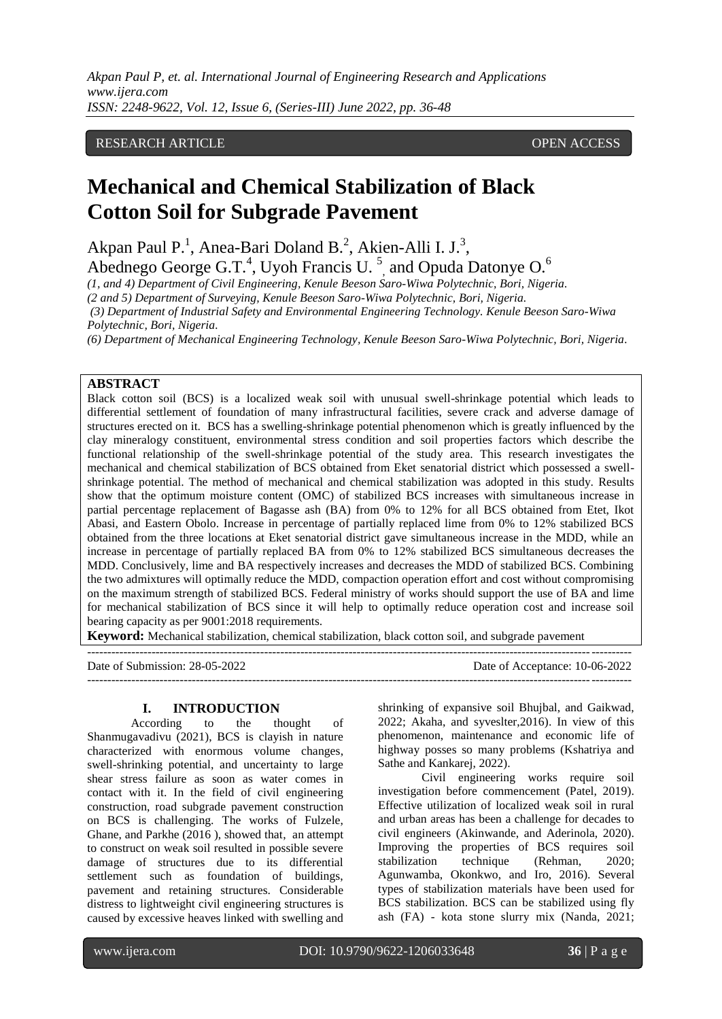### RESEARCH ARTICLE **CONTRACT ARTICLE** AND A SERVICE OPEN ACCESS

# **Mechanical and Chemical Stabilization of Black Cotton Soil for Subgrade Pavement**

Akpan Paul P.<sup>1</sup>, Anea-Bari Doland B.<sup>2</sup>, Akien-Alli I. J.<sup>3</sup>,

Abednego George G.T.<sup>4</sup>, Uyoh Francis U.<sup>5</sup>, and Opuda Datonye O.<sup>6</sup>

*(1, and 4) Department of Civil Engineering, Kenule Beeson Saro-Wiwa Polytechnic, Bori, Nigeria.*

*(2 and 5) Department of Surveying, Kenule Beeson Saro-Wiwa Polytechnic, Bori, Nigeria.*

*(3) Department of Industrial Safety and Environmental Engineering Technology. Kenule Beeson Saro-Wiwa Polytechnic, Bori, Nigeria.*

*(6) Department of Mechanical Engineering Technology, Kenule Beeson Saro-Wiwa Polytechnic, Bori, Nigeria.*

### **ABSTRACT**

Black cotton soil (BCS) is a localized weak soil with unusual swell-shrinkage potential which leads to differential settlement of foundation of many infrastructural facilities, severe crack and adverse damage of structures erected on it. BCS has a swelling-shrinkage potential phenomenon which is greatly influenced by the clay mineralogy constituent, environmental stress condition and soil properties factors which describe the functional relationship of the swell-shrinkage potential of the study area. This research investigates the mechanical and chemical stabilization of BCS obtained from Eket senatorial district which possessed a swellshrinkage potential. The method of mechanical and chemical stabilization was adopted in this study. Results show that the optimum moisture content (OMC) of stabilized BCS increases with simultaneous increase in partial percentage replacement of Bagasse ash (BA) from 0% to 12% for all BCS obtained from Etet, Ikot Abasi, and Eastern Obolo. Increase in percentage of partially replaced lime from 0% to 12% stabilized BCS obtained from the three locations at Eket senatorial district gave simultaneous increase in the MDD, while an increase in percentage of partially replaced BA from 0% to 12% stabilized BCS simultaneous decreases the MDD. Conclusively, lime and BA respectively increases and decreases the MDD of stabilized BCS. Combining the two admixtures will optimally reduce the MDD, compaction operation effort and cost without compromising on the maximum strength of stabilized BCS. Federal ministry of works should support the use of BA and lime for mechanical stabilization of BCS since it will help to optimally reduce operation cost and increase soil bearing capacity as per 9001:2018 requirements.

**Keyword:** Mechanical stabilization, chemical stabilization, black cotton soil, and subgrade pavement

| Date of Submission: 28-05-2022 | Date of Acceptance: 10-06-2022 |
|--------------------------------|--------------------------------|
|                                |                                |

#### **I. INTRODUCTION**

According to the thought of Shanmugavadivu (2021), BCS is clayish in nature characterized with enormous volume changes, swell-shrinking potential, and uncertainty to large shear stress failure as soon as water comes in contact with it. In the field of civil engineering construction, road subgrade pavement construction on BCS is challenging. The works of Fulzele, Ghane, and Parkhe (2016 ), showed that, an attempt to construct on weak soil resulted in possible severe damage of structures due to its differential settlement such as foundation of buildings, pavement and retaining structures. Considerable distress to lightweight civil engineering structures is caused by excessive heaves linked with swelling and shrinking of expansive soil Bhujbal, and Gaikwad, 2022; Akaha, and syveslter,2016). In view of this phenomenon, maintenance and economic life of highway posses so many problems (Kshatriya and Sathe and Kankarej, 2022).

Civil engineering works require soil investigation before commencement (Patel, 2019). Effective utilization of localized weak soil in rural and urban areas has been a challenge for decades to civil engineers (Akinwande, and Aderinola, 2020). Improving the properties of BCS requires soil stabilization technique (Rehman, 2020; Agunwamba, Okonkwo, and Iro, 2016). Several types of stabilization materials have been used for BCS stabilization. BCS can be stabilized using fly ash (FA) - kota stone slurry mix (Nanda, 2021;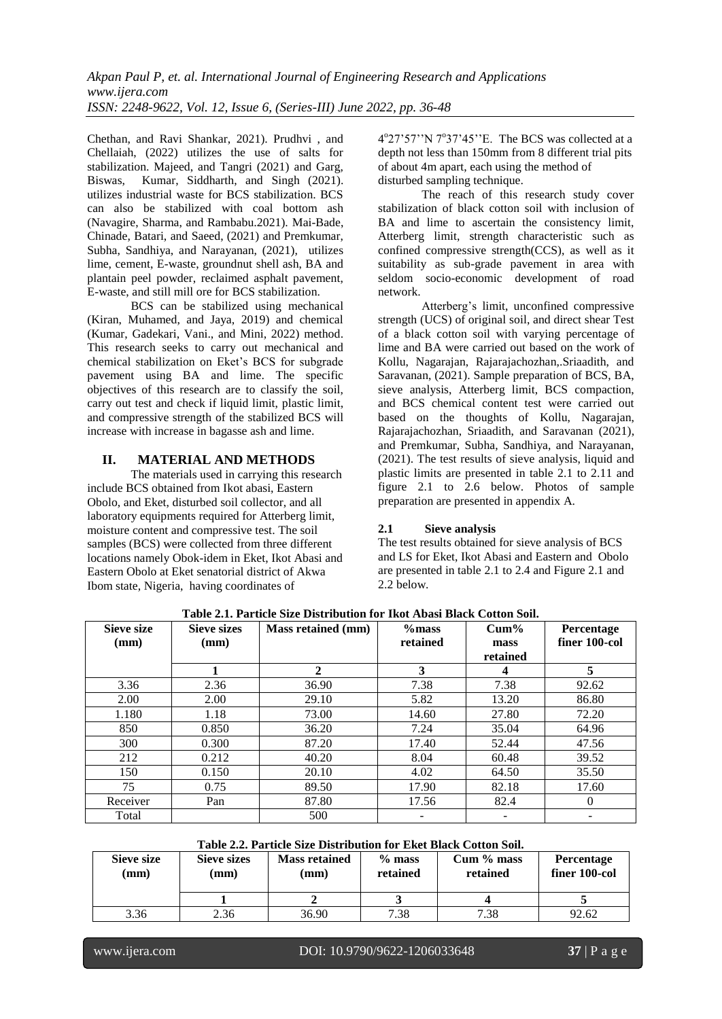Chethan, and Ravi Shankar, 2021). Prudhvi , and Chellaiah, (2022) utilizes the use of salts for stabilization. Majeed, and Tangri (2021) and Garg, Biswas, Kumar, Siddharth, and Singh (2021). utilizes industrial waste for BCS stabilization. BCS can also be stabilized with coal bottom ash (Navagire, Sharma, and Rambabu.2021). Mai-Bade, Chinade, Batari, and Saeed, (2021) and Premkumar, Subha, Sandhiya, and Narayanan, (2021), utilizes lime, cement, E-waste, groundnut shell ash, BA and plantain peel powder, reclaimed asphalt pavement, E-waste, and still mill ore for BCS stabilization.

BCS can be stabilized using mechanical (Kiran, Muhamed, and Jaya, 2019) and chemical (Kumar, Gadekari, Vani., and Mini, 2022) method. This research seeks to carry out mechanical and chemical stabilization on Eket's BCS for subgrade pavement using BA and lime. The specific objectives of this research are to classify the soil, carry out test and check if liquid limit, plastic limit, and compressive strength of the stabilized BCS will increase with increase in bagasse ash and lime.

### **II. MATERIAL AND METHODS**

The materials used in carrying this research include BCS obtained from Ikot abasi, Eastern Obolo, and Eket, disturbed soil collector, and all laboratory equipments required for Atterberg limit, moisture content and compressive test. The soil samples (BCS) were collected from three different locations namely Obok-idem in Eket, Ikot Abasi and Eastern Obolo at Eket senatorial district of Akwa Ibom state, Nigeria, having coordinates of

4°27'57''N 7°37'45''E. The BCS was collected at a depth not less than 150mm from 8 different trial pits of about 4m apart, each using the method of disturbed sampling technique.

The reach of this research study cover stabilization of black cotton soil with inclusion of BA and lime to ascertain the consistency limit, Atterberg limit, strength characteristic such as confined compressive strength(CCS), as well as it suitability as sub-grade pavement in area with seldom socio-economic development of road network.

Atterberg's limit, unconfined compressive strength (UCS) of original soil, and direct shear Test of a black cotton soil with varying percentage of lime and BA were carried out based on the work of Kollu, Nagarajan, Rajarajachozhan,.Sriaadith, and Saravanan, (2021). Sample preparation of BCS, BA, sieve analysis, Atterberg limit, BCS compaction, and BCS chemical content test were carried out based on the thoughts of Kollu, Nagarajan, Rajarajachozhan, Sriaadith, and Saravanan (2021), and Premkumar, Subha, Sandhiya, and Narayanan, (2021). The test results of sieve analysis, liquid and plastic limits are presented in table 2.1 to 2.11 and figure 2.1 to 2.6 below. Photos of sample preparation are presented in appendix A.

### **2.1 Sieve analysis**

The test results obtained for sieve analysis of BCS and LS for Eket, Ikot Abasi and Eastern and Obolo are presented in table 2.1 to 2.4 and Figure 2.1 and 2.2 below.

| <b>Sieve size</b> | <b>Sieve sizes</b> | <b>Mass retained (mm)</b> | $%$ mass | $Cum\%$  | Percentage    |  |  |  |  |  |
|-------------------|--------------------|---------------------------|----------|----------|---------------|--|--|--|--|--|
| (mm)              | (mm)               |                           | retained | mass     | finer 100-col |  |  |  |  |  |
|                   |                    |                           |          | retained |               |  |  |  |  |  |
|                   |                    | $\mathbf{2}$              | 3        |          | 5             |  |  |  |  |  |
| 3.36              | 2.36               | 36.90                     | 7.38     | 7.38     | 92.62         |  |  |  |  |  |
| 2.00              | 2.00               | 29.10                     | 5.82     | 13.20    | 86.80         |  |  |  |  |  |
| 1.180             | 1.18               | 73.00                     | 14.60    | 27.80    | 72.20         |  |  |  |  |  |
| 850               | 0.850              | 36.20                     | 7.24     | 35.04    | 64.96         |  |  |  |  |  |
| 300               | 0.300              | 87.20                     | 17.40    | 52.44    | 47.56         |  |  |  |  |  |
| 212               | 0.212              | 40.20                     | 8.04     | 60.48    | 39.52         |  |  |  |  |  |
| 150               | 0.150              | 20.10                     | 4.02     | 64.50    | 35.50         |  |  |  |  |  |
| 75                | 0.75               | 89.50                     | 17.90    | 82.18    | 17.60         |  |  |  |  |  |
| Receiver          | Pan                | 87.80                     | 17.56    | 82.4     | $\Omega$      |  |  |  |  |  |
| Total             |                    | 500                       |          |          |               |  |  |  |  |  |

**Table 2.1. Particle Size Distribution for Ikot Abasi Black Cotton Soil.**

**Table 2.2. Particle Size Distribution for Eket Black Cotton Soil.**

| Sieve size<br>$(\mathbf{mm})$ | Sieve sizes<br>(mm) | <b>Mass retained</b><br>(mm) | $%$ mass<br>retained | $Cum\%$ mass<br>retained | <b>Percentage</b><br>finer 100-col |
|-------------------------------|---------------------|------------------------------|----------------------|--------------------------|------------------------------------|
|                               |                     |                              |                      |                          |                                    |
| 3.36                          | 2.36                | 36.90                        | 7.38                 | 7.38                     | 92.62                              |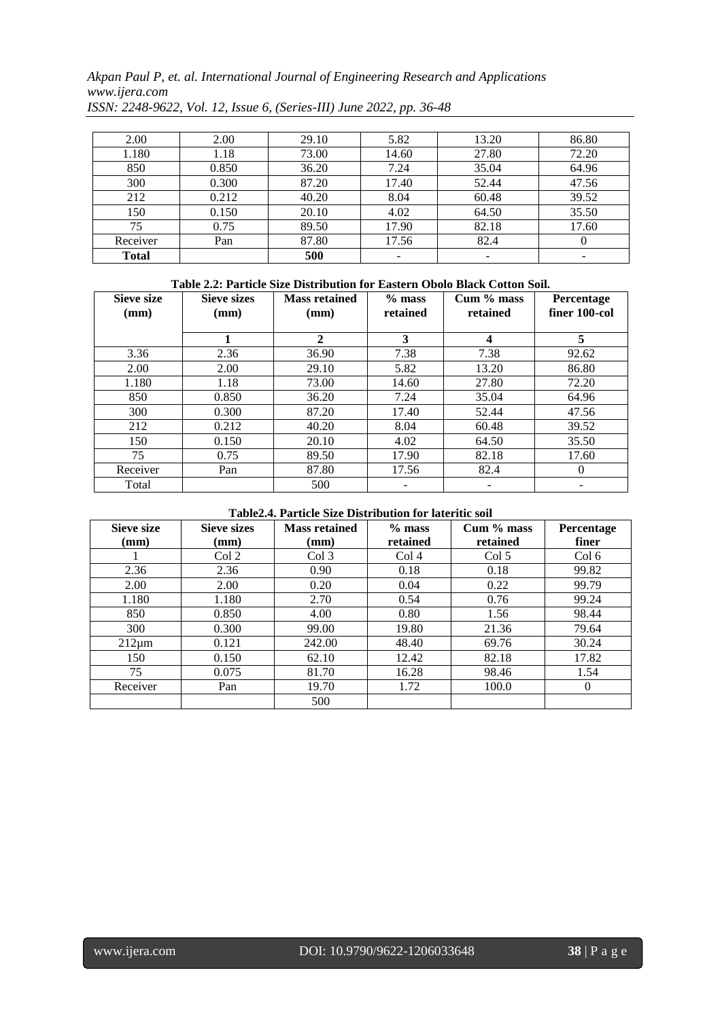*Akpan Paul P, et. al. International Journal of Engineering Research and Applications www.ijera.com*

| 2.00         | 2.00  | 29.10 | 5.82  | 13.20 | 86.80 |
|--------------|-------|-------|-------|-------|-------|
| 1.180        | 1.18  | 73.00 | 14.60 | 27.80 | 72.20 |
| 850          | 0.850 | 36.20 | 7.24  | 35.04 | 64.96 |
| 300          | 0.300 | 87.20 | 17.40 | 52.44 | 47.56 |
| 212          | 0.212 | 40.20 | 8.04  | 60.48 | 39.52 |
| 150          | 0.150 | 20.10 | 4.02  | 64.50 | 35.50 |
| 75           | 0.75  | 89.50 | 17.90 | 82.18 | 17.60 |
| Receiver     | Pan   | 87.80 | 17.56 | 82.4  |       |
| <b>Total</b> |       | 500   |       | -     | -     |

*ISSN: 2248-9622, Vol. 12, Issue 6, (Series-III) June 2022, pp. 36-48*

### **Table 2.2: Particle Size Distribution for Eastern Obolo Black Cotton Soil.**

| <b>Sieve size</b><br>$(\mathbf{mm})$ | <b>Sieve sizes</b><br>(mm) | <b>Mass retained</b><br>(mm) | $%$ mass<br>retained | Cum % mass<br>retained | <b>Percentage</b><br>finer 100-col |
|--------------------------------------|----------------------------|------------------------------|----------------------|------------------------|------------------------------------|
|                                      |                            | $\mathbf{2}$                 | 3                    | 4                      | 5                                  |
| 3.36                                 | 2.36                       | 36.90                        | 7.38                 | 7.38                   | 92.62                              |
| 2.00                                 | 2.00                       | 29.10                        | 5.82                 | 13.20                  | 86.80                              |
| 1.180                                | 1.18                       | 73.00                        | 14.60                | 27.80                  | 72.20                              |
| 850                                  | 0.850                      | 36.20                        | 7.24                 | 35.04                  | 64.96                              |
| 300                                  | 0.300                      | 87.20                        | 17.40                | 52.44                  | 47.56                              |
| 212                                  | 0.212                      | 40.20                        | 8.04                 | 60.48                  | 39.52                              |
| 150                                  | 0.150                      | 20.10                        | 4.02                 | 64.50                  | 35.50                              |
| 75                                   | 0.75                       | 89.50                        | 17.90                | 82.18                  | 17.60                              |
| Receiver                             | Pan                        | 87.80                        | 17.56                | 82.4                   | $\Omega$                           |
| Total                                |                            | 500                          |                      |                        |                                    |

### **Table2.4. Particle Size Distribution for lateritic soil**

| Sieve size<br>(mm) | <b>Sieve sizes</b><br>$(\mathbf{mm})$ | <b>Mass retained</b><br>(mm) | $%$ mass<br>retained | Cum % mass<br>retained | Percentage<br>finer |
|--------------------|---------------------------------------|------------------------------|----------------------|------------------------|---------------------|
|                    | Col <sub>2</sub>                      | Col <sub>3</sub>             | Col <sub>4</sub>     | Col 5                  | Col 6               |
| 2.36               | 2.36                                  | 0.90                         | 0.18                 | 0.18                   | 99.82               |
| 2.00               | 2.00                                  | 0.20                         | 0.04                 | 0.22                   | 99.79               |
| 1.180              | 1.180                                 | 2.70                         | 0.54                 | 0.76                   | 99.24               |
| 850                | 0.850                                 | 4.00                         | 0.80                 | 1.56                   | 98.44               |
| 300                | 0.300                                 | 99.00                        | 19.80                | 21.36                  | 79.64               |
| $212 \mu m$        | 0.121                                 | 242.00                       | 48.40                | 69.76                  | 30.24               |
| 150                | 0.150                                 | 62.10                        | 12.42                | 82.18                  | 17.82               |
| 75                 | 0.075                                 | 81.70                        | 16.28                | 98.46                  | 1.54                |
| Receiver           | Pan                                   | 19.70                        | 1.72                 | 100.0                  | $\Omega$            |
|                    |                                       | 500                          |                      |                        |                     |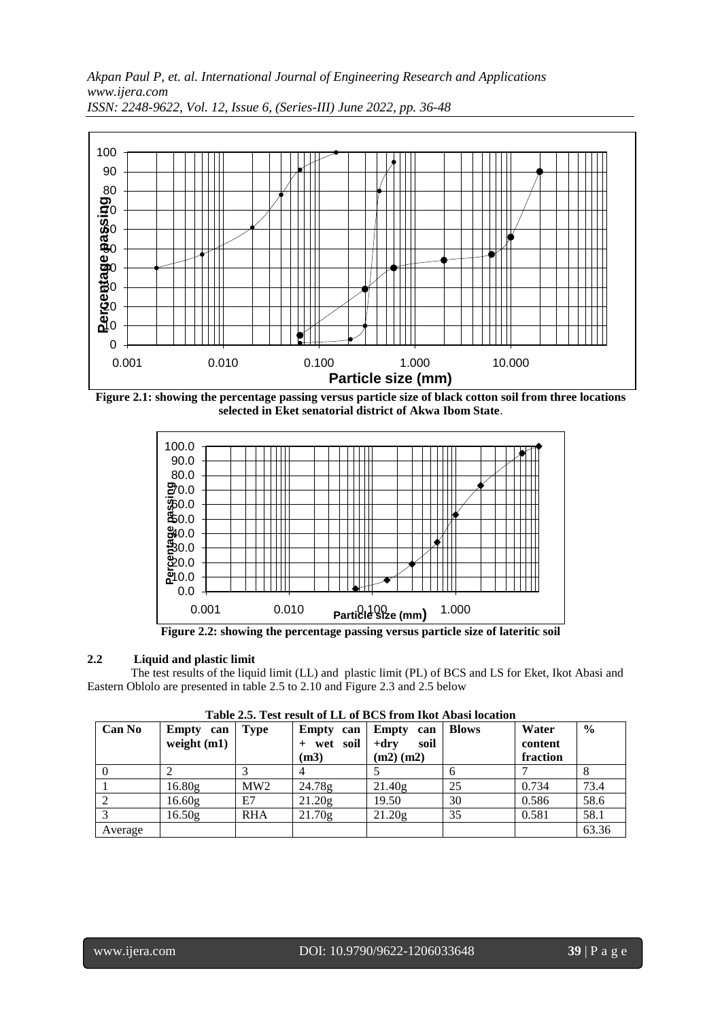

**Figure 2.1: showing the percentage passing versus particle size of black cotton soil from three locations selected in Eket senatorial district of Akwa Ibom State**.



**Figure 2.2: showing the percentage passing versus particle size of lateritic soil**

### **2.2 Liquid and plastic limit**

The test results of the liquid limit (LL) and plastic limit (PL) of BCS and LS for Eket, Ikot Abasi and Eastern Oblolo are presented in table 2.5 to 2.10 and Figure 2.3 and 2.5 below

|  | Table 2.5. Test result of LL of BCS from Ikot Abasi location |
|--|--------------------------------------------------------------|
|  |                                                              |

| <b>Can No</b> | Empty can<br>weight $(m1)$ | <b>Type</b> | Empty can<br>+ wet soil<br>(m3) | Empty<br>can<br>$+drv$<br>soil<br>$(m2)$ $(m2)$ | <b>Blows</b> | Water<br>content<br>fraction | $\frac{6}{9}$ |
|---------------|----------------------------|-------------|---------------------------------|-------------------------------------------------|--------------|------------------------------|---------------|
|               |                            |             |                                 |                                                 | 6            |                              |               |
|               | 16.80g                     | MW2         | 24.78g                          | 21.40g                                          | 25           | 0.734                        | 73.4          |
|               | 16.60 <sub>g</sub>         | E7          | 21.20g                          | 19.50                                           | 30           | 0.586                        | 58.6          |
|               | 16.50 <sub>g</sub>         | <b>RHA</b>  | 21.70g                          | 21.20g                                          | 35           | 0.581                        | 58.1          |
| Average       |                            |             |                                 |                                                 |              |                              | 63.36         |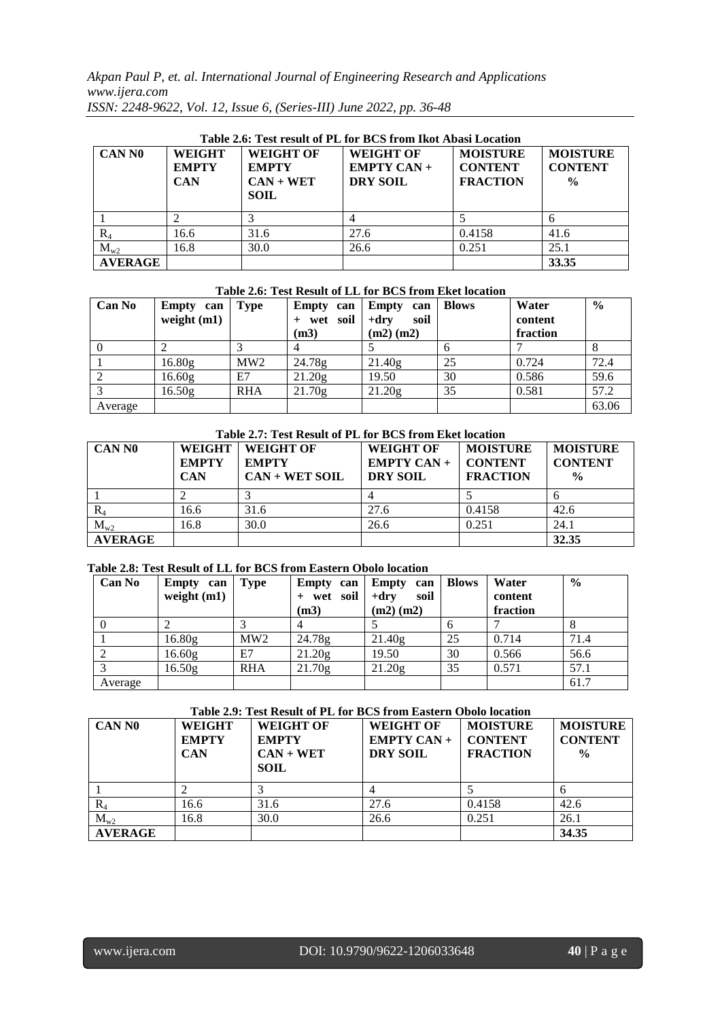|             | Table 2.6: Test result of PL for BCS from Ikot Abasi Location |                     |  |
|-------------|---------------------------------------------------------------|---------------------|--|
| $        -$ | $       -$                                                    | $- - - - - - - - -$ |  |

| <b>CAN NO</b>  | <b>WEIGHT</b><br><b>EMPTY</b><br><b>CAN</b> | <b>WEIGHT OF</b><br><b>EMPTY</b><br>$CAN + WET$<br><b>SOIL</b> | <b>WEIGHT OF</b><br>$EMPTY CAN +$<br><b>DRY SOIL</b> | <b>MOISTURE</b><br><b>CONTENT</b><br><b>FRACTION</b> | <b>MOISTURE</b><br><b>CONTENT</b><br>$\frac{0}{0}$ |
|----------------|---------------------------------------------|----------------------------------------------------------------|------------------------------------------------------|------------------------------------------------------|----------------------------------------------------|
|                |                                             |                                                                |                                                      |                                                      |                                                    |
| $R_4$          | 16.6                                        | 31.6                                                           | 27.6                                                 | 0.4158                                               | 41.6                                               |
| $M_{w2}$       | 16.8                                        | 30.0                                                           | 26.6                                                 | 0.251                                                | 25.1                                               |
| <b>AVERAGE</b> |                                             |                                                                |                                                      |                                                      | 33.35                                              |

### **Table 2.6: Test Result of LL for BCS from Eket location**

| <b>Can No</b> | Empty can<br>weight $(m1)$ | <b>Type</b> | Empty can<br>wet soil<br>(m3) | Empty<br>can<br>$+dry$<br>soil<br>$(m2)$ $(m2)$ | <b>Blows</b> | Water<br>content<br>fraction | $\frac{6}{6}$ |
|---------------|----------------------------|-------------|-------------------------------|-------------------------------------------------|--------------|------------------------------|---------------|
|               |                            |             |                               |                                                 | o            |                              |               |
|               | 16.80 <sub>g</sub>         | MW2         | 24.78g                        | 21.40g                                          | 25           | 0.724                        | 72.4          |
|               | 16.60 <sub>g</sub>         | E7          | 21.20g                        | 19.50                                           | 30           | 0.586                        | 59.6          |
|               | 16.50 <sub>g</sub>         | <b>RHA</b>  | 21.70g                        | 21.20g                                          | 35           | 0.581                        | 57.2          |
| Average       |                            |             |                               |                                                 |              |                              | 63.06         |

### **Table 2.7: Test Result of PL for BCS from Eket location**

| <b>CAN NO</b>  | <b>WEIGHT</b><br><b>EMPTY</b><br><b>CAN</b> | Tuble 2010 Test result of T D for Design Distribution<br><b>WEIGHT OF</b><br><b>EMPTY</b><br>$CAN + WET SOL$ | <b>WEIGHT OF</b><br>$EMPTY CAN +$<br><b>DRY SOIL</b> | <b>MOISTURE</b><br><b>CONTENT</b><br><b>FRACTION</b> | <b>MOISTURE</b><br><b>CONTENT</b><br>$\frac{0}{0}$ |
|----------------|---------------------------------------------|--------------------------------------------------------------------------------------------------------------|------------------------------------------------------|------------------------------------------------------|----------------------------------------------------|
|                |                                             |                                                                                                              |                                                      |                                                      |                                                    |
| $\rm R_{4}$    | 16.6                                        | 31.6                                                                                                         | 27.6                                                 | 0.4158                                               | 42.6                                               |
| $M_{w2}$       | 16.8                                        | 30.0                                                                                                         | 26.6                                                 | 0.251                                                | 24.1                                               |
| <b>AVERAGE</b> |                                             |                                                                                                              |                                                      |                                                      | 32.35                                              |

### **Table 2.8: Test Result of LL for BCS from Eastern Obolo location**

| <b>Can No</b> | Empty can          | <b>Type</b> | Empty can  | <b>Empty</b><br>can | <b>Blows</b> | Water    | $\%$ |
|---------------|--------------------|-------------|------------|---------------------|--------------|----------|------|
|               | weight $(m1)$      |             | + wet soil | $+drv$<br>soil      |              | content  |      |
|               |                    |             | (m3)       | $(m2)$ $(m2)$       |              | fraction |      |
|               |                    |             |            |                     | 6            |          | ⋀    |
|               | 16.80 <sub>g</sub> | MW2         | 24.78g     | 21.40g              | 25           | 0.714    | 71.4 |
|               | 16.60 <sub>g</sub> | E7          | 21.20g     | 19.50               | 30           | 0.566    | 56.6 |
|               | 16.50 <sub>g</sub> | <b>RHA</b>  | 21.70g     | 21.20g              | 35           | 0.571    | 57.1 |
| Average       |                    |             |            |                     |              |          | 61.7 |

### **Table 2.9: Test Result of PL for BCS from Eastern Obolo location**

| <b>CAN NO</b>  | <b>WEIGHT</b><br><b>EMPTY</b><br><b>CAN</b> | <b>WEIGHT OF</b><br><b>EMPTY</b><br>$CAN + WET$<br><b>SOIL</b> | <b>WEIGHT OF</b><br><b>EMPTY CAN +</b><br><b>DRY SOIL</b> | <b>MOISTURE</b><br><b>CONTENT</b><br><b>FRACTION</b> | <b>MOISTURE</b><br><b>CONTENT</b><br>$\frac{0}{0}$ |
|----------------|---------------------------------------------|----------------------------------------------------------------|-----------------------------------------------------------|------------------------------------------------------|----------------------------------------------------|
|                |                                             |                                                                |                                                           |                                                      |                                                    |
| $\rm R_4$      | 16.6                                        | 31.6                                                           | 27.6                                                      | 0.4158                                               | 42.6                                               |
| $M_{w2}$       | 16.8                                        | 30.0                                                           | 26.6                                                      | 0.251                                                | 26.1                                               |
| <b>AVERAGE</b> |                                             |                                                                |                                                           |                                                      | 34.35                                              |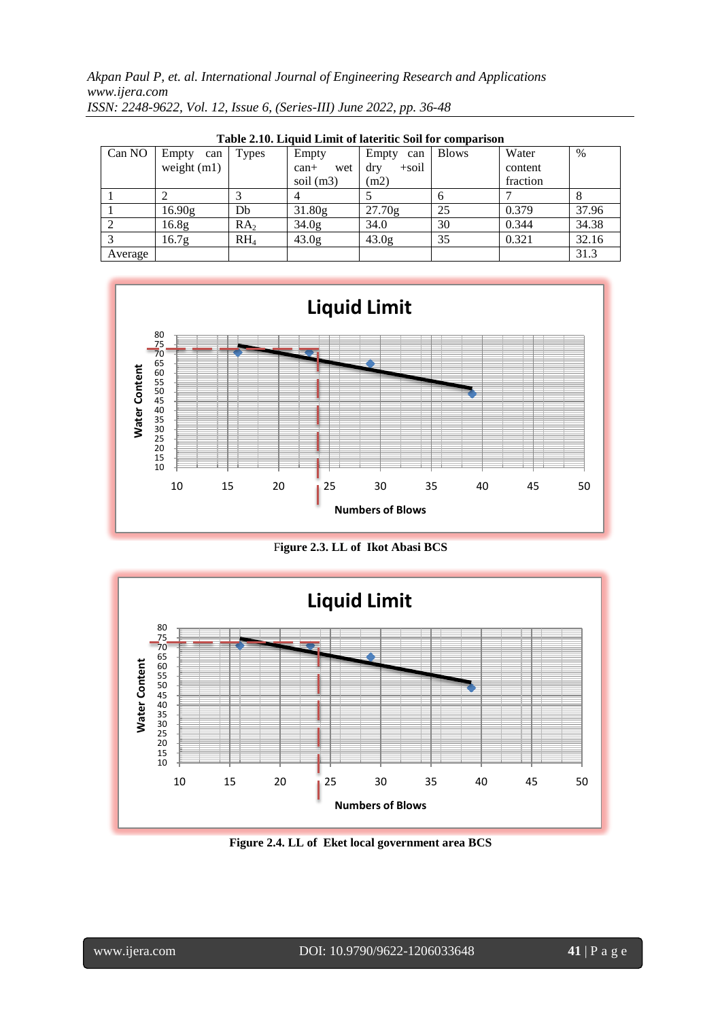|         | Table 2.10. Engula Emilit of fateflue boll for comparison |                 |                   |                   |              |          |       |  |  |  |  |
|---------|-----------------------------------------------------------|-----------------|-------------------|-------------------|--------------|----------|-------|--|--|--|--|
| Can NO  | Empty<br>can                                              | Types           | Empty             | Empty<br>can      | <b>Blows</b> | Water    | $\%$  |  |  |  |  |
|         | weight $(m1)$                                             |                 | $can+$<br>wet     | $+$ soil<br>dry   |              | content  |       |  |  |  |  |
|         |                                                           |                 | soil $(m3)$       | (m2)              |              | fraction |       |  |  |  |  |
|         |                                                           |                 |                   |                   |              |          | 8     |  |  |  |  |
|         | 16.90g                                                    | Db              | 31.80g            | 27.70g            | 25           | 0.379    | 37.96 |  |  |  |  |
|         | 16.8 <sub>g</sub>                                         | RA <sub>2</sub> | 34.0 <sub>g</sub> | 34.0              | 30           | 0.344    | 34.38 |  |  |  |  |
|         | 16.7 <sub>g</sub>                                         | $RH_4$          | 43.0 <sub>g</sub> | 43.0 <sub>g</sub> | 35           | 0.321    | 32.16 |  |  |  |  |
| Average |                                                           |                 |                   |                   |              |          | 31.3  |  |  |  |  |

**Table 2.10. Liquid Limit of lateritic Soil for comparison**



F**igure 2.3. LL of Ikot Abasi BCS**



**Figure 2.4. LL of Eket local government area BCS**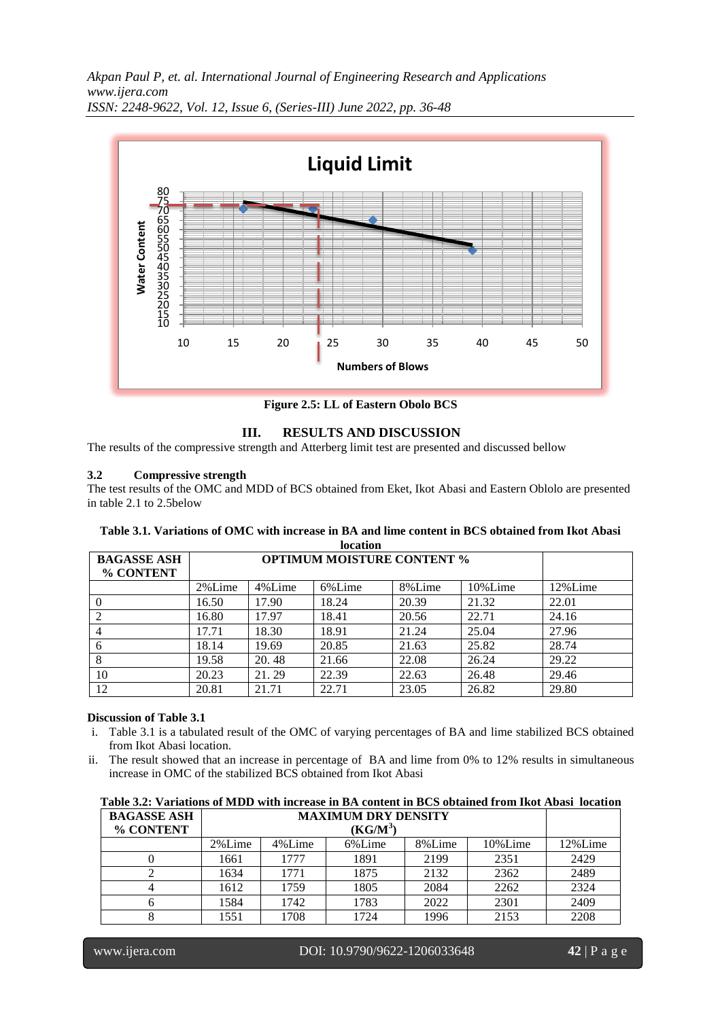

**Figure 2.5: LL of Eastern Obolo BCS**

### **III. RESULTS AND DISCUSSION**

The results of the compressive strength and Atterberg limit test are presented and discussed bellow

### **3.2 Compressive strength**

The test results of the OMC and MDD of BCS obtained from Eket, Ikot Abasi and Eastern Oblolo are presented in table 2.1 to 2.5below

| iocation           |        |        |                                   |        |         |         |  |  |  |
|--------------------|--------|--------|-----------------------------------|--------|---------|---------|--|--|--|
| <b>BAGASSE ASH</b> |        |        | <b>OPTIMUM MOISTURE CONTENT %</b> |        |         |         |  |  |  |
| % CONTENT          |        |        |                                   |        |         |         |  |  |  |
|                    | 2%Lime | 4%Lime | 6%Lime                            | 8%Lime | 10%Lime | 12%Lime |  |  |  |
|                    | 16.50  | 17.90  | 18.24                             | 20.39  | 21.32   | 22.01   |  |  |  |
|                    | 16.80  | 17.97  | 18.41                             | 20.56  | 22.71   | 24.16   |  |  |  |
| $\overline{4}$     | 17.71  | 18.30  | 18.91                             | 21.24  | 25.04   | 27.96   |  |  |  |
| 6                  | 18.14  | 19.69  | 20.85                             | 21.63  | 25.82   | 28.74   |  |  |  |
| 8                  | 19.58  | 20.48  | 21.66                             | 22.08  | 26.24   | 29.22   |  |  |  |
| 10                 | 20.23  | 21.29  | 22.39                             | 22.63  | 26.48   | 29.46   |  |  |  |
| 12                 | 20.81  | 21.71  | 22.71                             | 23.05  | 26.82   | 29.80   |  |  |  |

#### **Table 3.1. Variations of OMC with increase in BA and lime content in BCS obtained from Ikot Abasi location**

### **Discussion of Table 3.1**

- i. Table 3.1 is a tabulated result of the OMC of varying percentages of BA and lime stabilized BCS obtained from Ikot Abasi location.
- ii. The result showed that an increase in percentage of BA and lime from 0% to 12% results in simultaneous increase in OMC of the stabilized BCS obtained from Ikot Abasi

| Table 3.2: Variations of MLDD with increase in BA content in BCS obtained from IKOt Abasi Tocation |        |            |                            |        |         |         |  |  |
|----------------------------------------------------------------------------------------------------|--------|------------|----------------------------|--------|---------|---------|--|--|
| <b>BAGASSE ASH</b>                                                                                 |        |            | <b>MAXIMUM DRY DENSITY</b> |        |         |         |  |  |
| % CONTENT                                                                                          |        | $(KG/M^3)$ |                            |        |         |         |  |  |
|                                                                                                    | 2%Lime | 4%Lime     | 6%Lime                     | 8%Lime | 10%Lime | 12%Lime |  |  |
|                                                                                                    | 1661   | 1777       | 1891                       | 2199   | 2351    | 2429    |  |  |
|                                                                                                    | 1634   | 1771       | 1875                       | 2132   | 2362    | 2489    |  |  |
|                                                                                                    | 1612   | 1759       | 1805                       | 2084   | 2262    | 2324    |  |  |
|                                                                                                    | 1584   | 1742       | 1783                       | 2022   | 2301    | 2409    |  |  |
|                                                                                                    | 1551   | 1708       | 1724                       | 1996   | 2153    | 2208    |  |  |

**Table 3.2: Variations of MDD with increase in BA content in BCS obtained from Ikot Abasi location**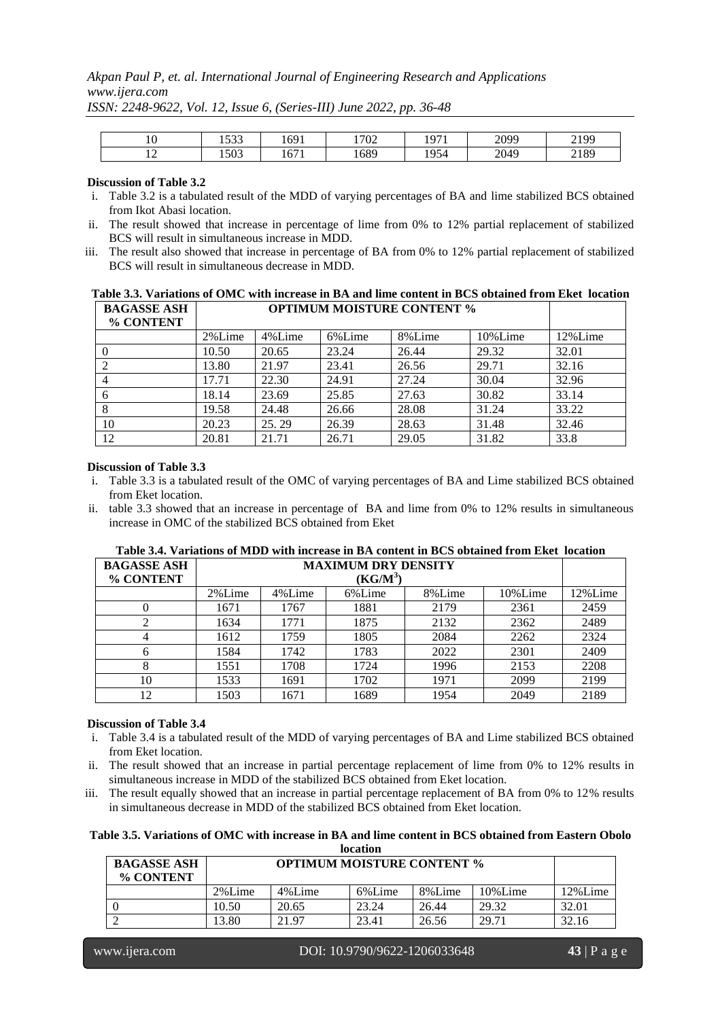### *Akpan Paul P, et. al. International Journal of Engineering Research and Applications www.ijera.com*

|         | $\sim$<br>1 J J J     | 1691                | !702 | 197  | 2099 | 2199<br><u> 4177</u> |
|---------|-----------------------|---------------------|------|------|------|----------------------|
| $\cdot$ | $\epsilon$ 00<br>1503 | $\sim$ $-1$<br>10/1 | 1689 | 1954 | 2049 | 2189                 |

*ISSN: 2248-9622, Vol. 12, Issue 6, (Series-III) June 2022, pp. 36-48*

### **Discussion of Table 3.2**

- i. Table 3.2 is a tabulated result of the MDD of varying percentages of BA and lime stabilized BCS obtained from Ikot Abasi location.
- ii. The result showed that increase in percentage of lime from 0% to 12% partial replacement of stabilized BCS will result in simultaneous increase in MDD.
- iii. The result also showed that increase in percentage of BA from 0% to 12% partial replacement of stabilized BCS will result in simultaneous decrease in MDD.

| Table 3.3. Variations of OMC with increase in BA and lime content in BCS obtained from Eket location |                    |                  |                                   |                             |  |  |   |  |  |
|------------------------------------------------------------------------------------------------------|--------------------|------------------|-----------------------------------|-----------------------------|--|--|---|--|--|
|                                                                                                      | <b>BAGASSE ASH</b> |                  | <b>OPTIMUM MOISTURE CONTENT %</b> |                             |  |  |   |  |  |
|                                                                                                      | % CONTENT          |                  |                                   |                             |  |  |   |  |  |
|                                                                                                      |                    | $\sim \sim \sim$ | $\cdots$                          | $\sim$ $\sim$ $\sim$ $\sim$ |  |  | . |  |  |

| 70 CONTENT |        |        |        |        |         |          |
|------------|--------|--------|--------|--------|---------|----------|
|            | 2%Lime | 4%Lime | 6%Lime | 8%Lime | 10%Lime | 12% Lime |
|            | 10.50  | 20.65  | 23.24  | 26.44  | 29.32   | 32.01    |
|            | 13.80  | 21.97  | 23.41  | 26.56  | 29.71   | 32.16    |
|            | 17.71  | 22.30  | 24.91  | 27.24  | 30.04   | 32.96    |
| 6          | 18.14  | 23.69  | 25.85  | 27.63  | 30.82   | 33.14    |
|            | 19.58  | 24.48  | 26.66  | 28.08  | 31.24   | 33.22    |
| 10         | 20.23  | 25.29  | 26.39  | 28.63  | 31.48   | 32.46    |
| 12         | 20.81  | 21.71  | 26.71  | 29.05  | 31.82   | 33.8     |

#### **Discussion of Table 3.3**

- i. Table 3.3 is a tabulated result of the OMC of varying percentages of BA and Lime stabilized BCS obtained from Eket location.
- ii. table 3.3 showed that an increase in percentage of BA and lime from 0% to 12% results in simultaneous increase in OMC of the stabilized BCS obtained from Eket

| <b>BAGASSE ASH</b> |        | <b>MAXIMUM DRY DENSITY</b> |            |        |         |         |  |  |  |
|--------------------|--------|----------------------------|------------|--------|---------|---------|--|--|--|
| % CONTENT          |        |                            | $(KG/M^3)$ |        |         |         |  |  |  |
|                    | 2%Lime | 4%Lime                     | 6%Lime     | 8%Lime | 10%Lime | 12%Lime |  |  |  |
| 0                  | 1671   | 1767                       | 1881       | 2179   | 2361    | 2459    |  |  |  |
|                    | 1634   | 1771                       | 1875       | 2132   | 2362    | 2489    |  |  |  |
| 4                  | 1612   | 1759                       | 1805       | 2084   | 2262    | 2324    |  |  |  |
| 6                  | 1584   | 1742                       | 1783       | 2022   | 2301    | 2409    |  |  |  |
| 8                  | 1551   | 1708                       | 1724       | 1996   | 2153    | 2208    |  |  |  |
| 10                 | 1533   | 1691                       | 1702       | 1971   | 2099    | 2199    |  |  |  |
| 12                 | 1503   | 1671                       | 1689       | 1954   | 2049    | 2189    |  |  |  |

## **Table 3.4. Variations of MDD with increase in BA content in BCS obtained from Eket location**

#### **Discussion of Table 3.4**

- i. Table 3.4 is a tabulated result of the MDD of varying percentages of BA and Lime stabilized BCS obtained from Eket location.
- ii. The result showed that an increase in partial percentage replacement of lime from 0% to 12% results in simultaneous increase in MDD of the stabilized BCS obtained from Eket location.
- iii. The result equally showed that an increase in partial percentage replacement of BA from 0% to 12% results in simultaneous decrease in MDD of the stabilized BCS obtained from Eket location.

**Table 3.5. Variations of OMC with increase in BA and lime content in BCS obtained from Eastern Obolo location**

| <b>BAGASSE ASH</b><br>% CONTENT |        | <b>OPTIMUM MOISTURE CONTENT %</b> |        |        |         |         |  |  |  |
|---------------------------------|--------|-----------------------------------|--------|--------|---------|---------|--|--|--|
|                                 | 2%Lime | 4%Lime                            | 6%Lime | 8%Lime | 10%Lime | 12%Lime |  |  |  |
|                                 | 10.50  | 20.65                             | 23.24  | 26.44  | 29.32   | 32.01   |  |  |  |
|                                 | 13.80  | 21.97                             | 23.41  | 26.56  | 29.71   | 32.16   |  |  |  |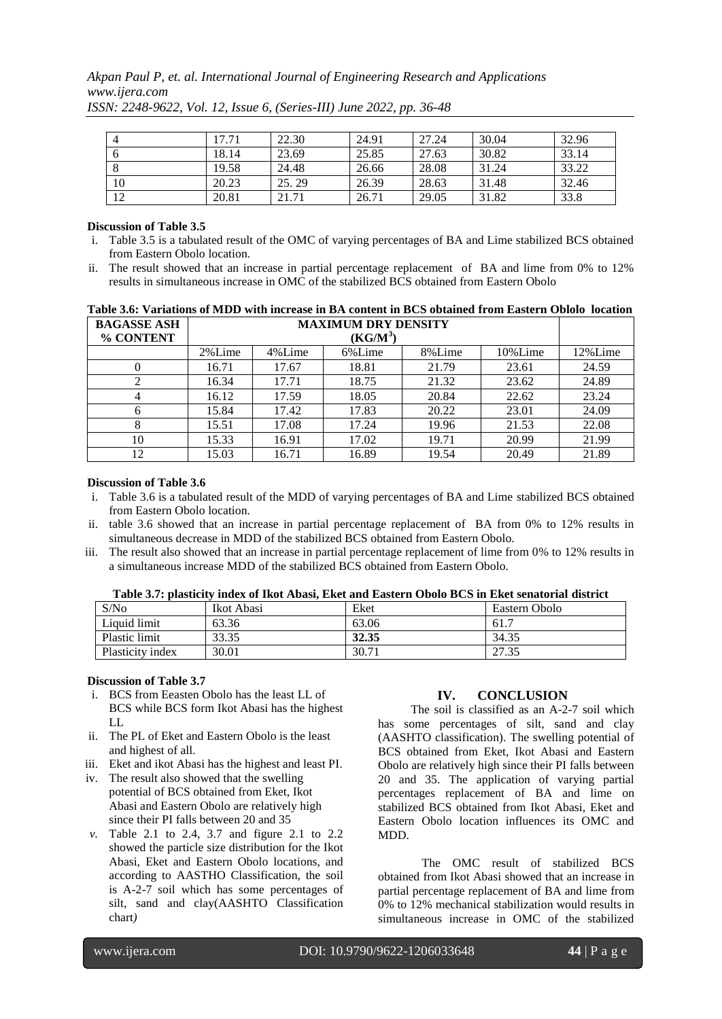*Akpan Paul P, et. al. International Journal of Engineering Research and Applications www.ijera.com*

|    | 17.71 | 22.30 | 24.91 | 27.24 | 30.04 | 32.96 |
|----|-------|-------|-------|-------|-------|-------|
|    | 18.14 | 23.69 | 25.85 | 27.63 | 30.82 | 33.14 |
|    | 19.58 | 24.48 | 26.66 | 28.08 | 31.24 | 33.22 |
| 10 | 20.23 | 25.29 | 26.39 | 28.63 | 31.48 | 32.46 |
| 12 | 20.81 | 21.71 | 26.71 | 29.05 | 31.82 | 33.8  |

*ISSN: 2248-9622, Vol. 12, Issue 6, (Series-III) June 2022, pp. 36-48*

#### **Discussion of Table 3.5**

- i. Table 3.5 is a tabulated result of the OMC of varying percentages of BA and Lime stabilized BCS obtained from Eastern Obolo location.
- ii. The result showed that an increase in partial percentage replacement of BA and lime from 0% to 12% results in simultaneous increase in OMC of the stabilized BCS obtained from Eastern Obolo

|                                                                                                         | Table 3.6: Variations of MDD with increase in BA content in BCS obtained from Eastern Oblolo location |  |
|---------------------------------------------------------------------------------------------------------|-------------------------------------------------------------------------------------------------------|--|
| $\Gamma$ D $\Lambda$ $\Gamma$ $\Lambda$ $\Gamma$ $\Gamma$ $\Gamma$ $\Lambda$ $\Gamma$ $\Gamma$ $\Gamma$ | MA VIMINA DDV DEMCHRY                                                                                 |  |

| <b>BAGASSE ASH</b> | <b>MAXIMUM DRY DENSITY</b><br>$(KG/M^3)$ |        |        |        |         |         |
|--------------------|------------------------------------------|--------|--------|--------|---------|---------|
| % CONTENT          |                                          |        |        |        |         |         |
|                    | 2%Lime                                   | 4%Lime | 6%Lime | 8%Lime | 10%Lime | 12%Lime |
|                    | 16.71                                    | 17.67  | 18.81  | 21.79  | 23.61   | 24.59   |
|                    | 16.34                                    | 17.71  | 18.75  | 21.32  | 23.62   | 24.89   |
|                    | 16.12                                    | 17.59  | 18.05  | 20.84  | 22.62   | 23.24   |
| 6                  | 15.84                                    | 17.42  | 17.83  | 20.22  | 23.01   | 24.09   |
|                    | 15.51                                    | 17.08  | 17.24  | 19.96  | 21.53   | 22.08   |
| 10                 | 15.33                                    | 16.91  | 17.02  | 19.71  | 20.99   | 21.99   |
| 12                 | 15.03                                    | 16.71  | 16.89  | 19.54  | 20.49   | 21.89   |

### **Discussion of Table 3.6**

- i. Table 3.6 is a tabulated result of the MDD of varying percentages of BA and Lime stabilized BCS obtained from Eastern Obolo location.
- ii. table 3.6 showed that an increase in partial percentage replacement of BA from 0% to 12% results in simultaneous decrease in MDD of the stabilized BCS obtained from Eastern Obolo.
- iii. The result also showed that an increase in partial percentage replacement of lime from 0% to 12% results in a simultaneous increase MDD of the stabilized BCS obtained from Eastern Obolo.

| S/No             | Ikot Abasi | Eket  | Eastern Obolo |
|------------------|------------|-------|---------------|
| Liquid limit     | 63.36      | 63.06 | 61.7          |
| Plastic limit    | 33.35      | 32.35 | 34.35         |
| Plasticity index | 30.01      | 30.71 | 27.35         |

### **Table 3.7: plasticity index of Ikot Abasi, Eket and Eastern Obolo BCS in Eket senatorial district**

#### **Discussion of Table 3.7**

- i. BCS from Eeasten Obolo has the least LL of BCS while BCS form Ikot Abasi has the highest LL
- ii. The PL of Eket and Eastern Obolo is the least and highest of all.
- iii. Eket and ikot Abasi has the highest and least PI.
- iv. The result also showed that the swelling potential of BCS obtained from Eket, Ikot Abasi and Eastern Obolo are relatively high since their PI falls between 20 and 35
- *v.* Table 2.1 to 2.4, 3.7 and figure 2.1 to 2.2 showed the particle size distribution for the Ikot Abasi, Eket and Eastern Obolo locations, and according to AASTHO Classification, the soil is A-2-7 soil which has some percentages of silt, sand and clay(AASHTO Classification chart*)*

### **IV. CONCLUSION**

The soil is classified as an A-2-7 soil which has some percentages of silt, sand and clay (AASHTO classification). The swelling potential of BCS obtained from Eket, Ikot Abasi and Eastern Obolo are relatively high since their PI falls between 20 and 35. The application of varying partial percentages replacement of BA and lime on stabilized BCS obtained from Ikot Abasi, Eket and Eastern Obolo location influences its OMC and MDD.

The OMC result of stabilized BCS obtained from Ikot Abasi showed that an increase in partial percentage replacement of BA and lime from 0% to 12% mechanical stabilization would results in simultaneous increase in OMC of the stabilized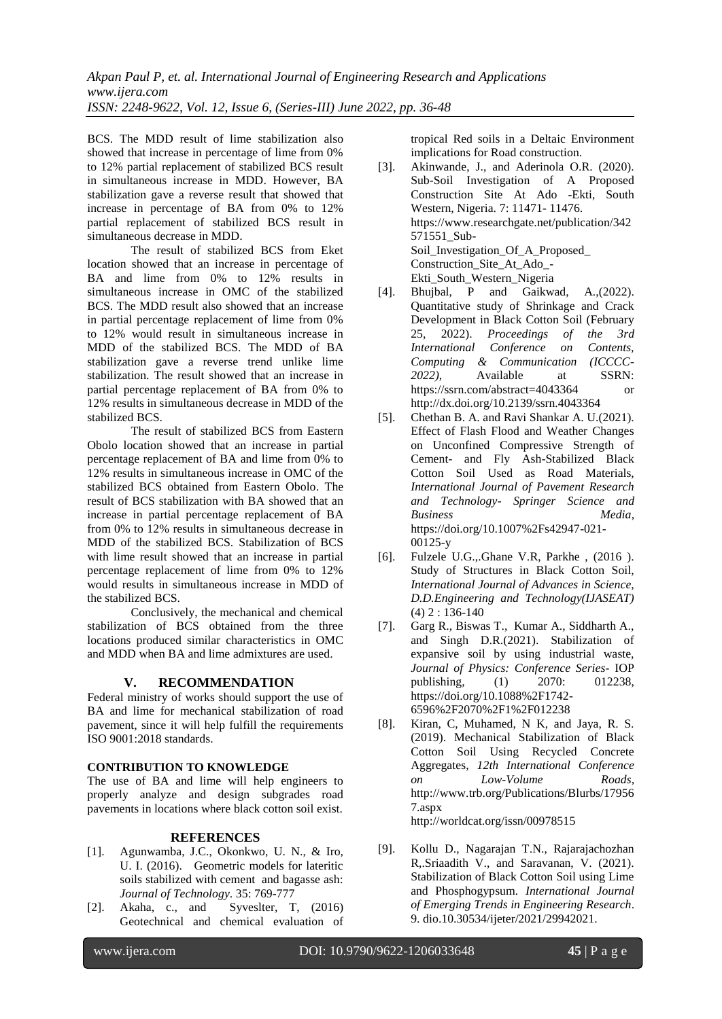BCS. The MDD result of lime stabilization also showed that increase in percentage of lime from 0% to 12% partial replacement of stabilized BCS result in simultaneous increase in MDD. However, BA stabilization gave a reverse result that showed that increase in percentage of BA from 0% to 12% partial replacement of stabilized BCS result in simultaneous decrease in MDD.

The result of stabilized BCS from Eket location showed that an increase in percentage of BA and lime from 0% to 12% results in simultaneous increase in OMC of the stabilized BCS. The MDD result also showed that an increase in partial percentage replacement of lime from 0% to 12% would result in simultaneous increase in MDD of the stabilized BCS. The MDD of BA stabilization gave a reverse trend unlike lime stabilization. The result showed that an increase in partial percentage replacement of BA from 0% to 12% results in simultaneous decrease in MDD of the stabilized BCS.

The result of stabilized BCS from Eastern Obolo location showed that an increase in partial percentage replacement of BA and lime from 0% to 12% results in simultaneous increase in OMC of the stabilized BCS obtained from Eastern Obolo. The result of BCS stabilization with BA showed that an increase in partial percentage replacement of BA from 0% to 12% results in simultaneous decrease in MDD of the stabilized BCS. Stabilization of BCS with lime result showed that an increase in partial percentage replacement of lime from 0% to 12% would results in simultaneous increase in MDD of the stabilized BCS.

Conclusively, the mechanical and chemical stabilization of BCS obtained from the three locations produced similar characteristics in OMC and MDD when BA and lime admixtures are used.

#### **V. RECOMMENDATION**

Federal ministry of works should support the use of BA and lime for mechanical stabilization of road pavement, since it will help fulfill the requirements ISO 9001:2018 standards.

#### **CONTRIBUTION TO KNOWLEDGE**

The use of BA and lime will help engineers to properly analyze and design subgrades road pavements in locations where black cotton soil exist.

#### **REFERENCES**

- [1]. Agunwamba, J.C., Okonkwo, U. N., & Iro, U. I. (2016). Geometric models for lateritic soils stabilized with cement and bagasse ash: *Journal of Technology*. 35: 769-777
- [2]. Akaha, c., and Syveslter, T, (2016) Geotechnical and chemical evaluation of

tropical Red soils in a Deltaic Environment implications for Road construction.

- [3]. Akinwande, J., and Aderinola O.R. (2020). Sub-Soil Investigation of A Proposed Construction Site At Ado -Ekti, South Western, Nigeria. 7: 11471- 11476. [https://www.researchgate.net/publication/342](https://www.researchgate.net/publication/342571551_Sub-Soil_Investigation_Of_A_Proposed_) [571551\\_Sub-](https://www.researchgate.net/publication/342571551_Sub-Soil_Investigation_Of_A_Proposed_)[Soil\\_Investigation\\_Of\\_A\\_Proposed\\_](https://www.researchgate.net/publication/342571551_Sub-Soil_Investigation_Of_A_Proposed_) Construction\_Site\_At\_Ado\_- Ekti\_South\_Western\_Nigeria
- [4]. Bhujbal, P and Gaikwad, A.,(2022). Quantitative study of Shrinkage and Crack Development in Black Cotton Soil (February 25, 2022). *Proceedings of the 3rd International Conference on Contents, Computing & Communication (ICCCC-2022)*, Available at SSRN: https://ssrn.com/abstract=4043364 or http://dx.doi.org/10.2139/ssrn.4043364
- [5]. Chethan B. A. and Ravi Shankar A. U.(2021). Effect of Flash Flood and Weather Changes on Unconfined Compressive Strength of Cement- and Fly Ash-Stabilized Black Cotton Soil Used as Road Materials, *International Journal of Pavement Research and Technology- Springer Science and Business Media*, [https://doi.org/10.1007%2Fs42947-021-](https://doi.org/10.1007%2Fs42947-021-00125-y) [00125-y](https://doi.org/10.1007%2Fs42947-021-00125-y)
- [6]. Fulzele U.G.,.Ghane V.R, Parkhe , (2016 ). Study of Structures in Black Cotton Soil, *International Journal of Advances in Science, D.D.Engineering and Technology(IJASEAT)*  $(4)$  2 : 136-140
- [7]. Garg R., Biswas T., Kumar A., Siddharth A., and Singh D.R.(2021). Stabilization of expansive soil by using industrial waste, *Journal of Physics: Conference Series*- IOP publishing, (1) 2070: 012238, [https://doi.org/10.1088%2F1742-](https://doi.org/10.1088%2F1742-6596%2F2070%2F1%2F012238) [6596%2F2070%2F1%2F012238](https://doi.org/10.1088%2F1742-6596%2F2070%2F1%2F012238)
- [8]. Kiran, C, Muhamed, N K, and Jaya, R. S. (2019). Mechanical Stabilization of Black Cotton Soil Using Recycled Concrete Aggregates, *12th International Conference on Low-Volume Roads*, http://www.trb.org/Publications/Blurbs/17956 7.aspx <http://worldcat.org/issn/00978515>
- [9]. Kollu D., Nagarajan T.N., Rajarajachozhan R,.Sriaadith V., and Saravanan, V. (2021). Stabilization of Black Cotton Soil using Lime and Phosphogypsum. *International Journal of Emerging Trends in Engineering Research*. 9. dio.10.30534/ijeter/2021/29942021.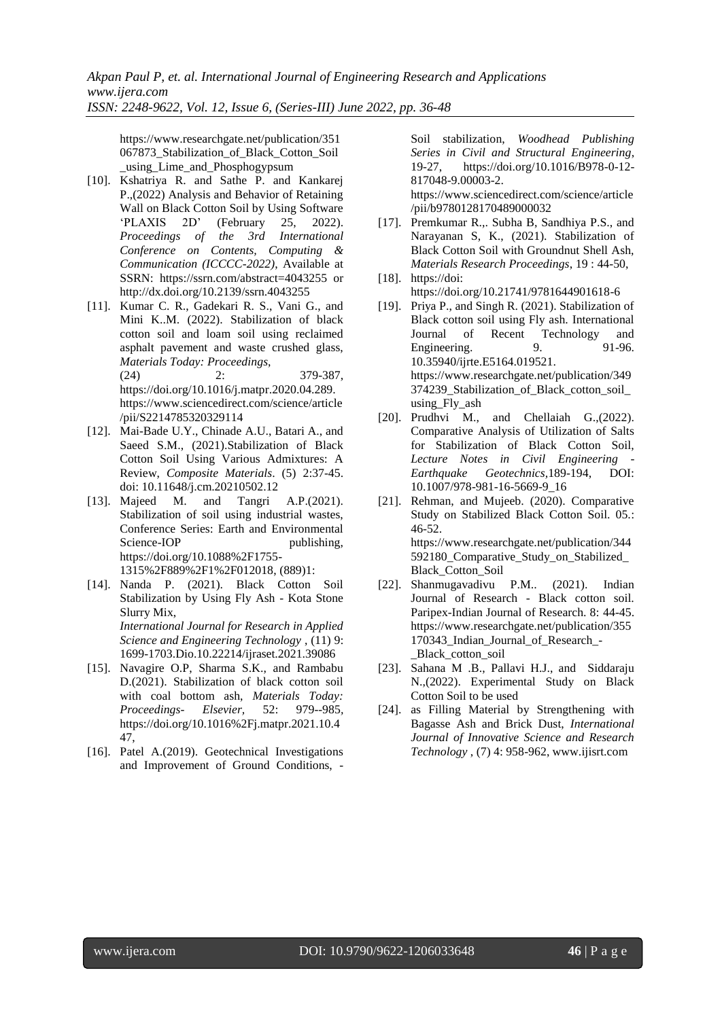https://www.researchgate.net/publication/351 067873\_Stabilization\_of\_Black\_Cotton\_Soil using Lime and Phosphogypsum

- [10]. Kshatriya R. and Sathe P. and Kankarej P.,(2022) Analysis and Behavior of Retaining Wall on Black Cotton Soil by Using Software<br>
'PLAXIS 2D' (February 25, 2022). 'PLAXIS 2D' (February 25, 2022). *Proceedings of the 3rd International Conference on Contents, Computing & Communication (ICCCC-2022)*, Available at SSRN: https://ssrn.com/abstract=4043255 or <http://dx.doi.org/10.2139/ssrn.4043255>
- [11]. Kumar C. R., Gadekari R. S., Vani G., and Mini K..M. (2022). Stabilization of black cotton soil and loam soil using reclaimed asphalt pavement and waste crushed glass, *Materials Today: Proceedings*, (24) 2: 379-387, https://doi.org/10.1016/j.matpr.2020.04.289. https://www.sciencedirect.com/science/article /pii/S2214785320329114
- [12]. Mai-Bade U.Y., Chinade A.U., Batari A., and Saeed S.M., (2021).Stabilization of Black Cotton Soil Using Various Admixtures: A Review, *Composite Materials*. (5) 2:37-45. doi: 10.11648/j.cm.20210502.12
- [13]. Majeed M. and Tangri A.P.(2021). Stabilization of soil using industrial wastes, Conference Series: Earth and Environmental Science-IOP publishing, [https://doi.org/10.1088%2F1755-](https://doi.org/10.1088%2F1755-1315%2F889%2F1%2F012018) [1315%2F889%2F1%2F012018,](https://doi.org/10.1088%2F1755-1315%2F889%2F1%2F012018) (889)1:
- [14]. Nanda P. (2021). Black Cotton Soil Stabilization by Using Fly Ash - Kota Stone Slurry Mix, *International Journal for Research in Applied Science and Engineering Technology* , (11) 9: 1699-1703.Dio.10.22214/ijraset.2021.39086
- [15]. Navagire O.P, Sharma S.K., and Rambabu D.(2021). Stabilization of black cotton soil with coal bottom ash, *Materials Today: Proceedings- Elsevier,* 52: 979--985*,*  [https://doi.org/10.1016%2Fj.matpr.2021.10.4](https://doi.org/10.1016%2Fj.matpr.2021.10.447) [47,](https://doi.org/10.1016%2Fj.matpr.2021.10.447)
- [16]. Patel A.(2019). Geotechnical Investigations and Improvement of Ground Conditions, -

Soil stabilization, *Woodhead Publishing Series in Civil and Structural Engineering*, 19-27, https://doi.org/10.1016/B978-0-12- 817048-9.00003-2.

https://www.sciencedirect.com/science/article /pii/b9780128170489000032

- [17]. Premkumar R.,. Subha B, Sandhiya P.S., and Narayanan S, K., (2021). Stabilization of Black Cotton Soil with Groundnut Shell Ash, *Materials Research Proceedings*, 19 : 44-50,
- [18]. https://doi: https://doi.org/10.21741/9781644901618-6
- [19]. Priya P., and Singh R. (2021). Stabilization of Black cotton soil using Fly ash. International Journal of Recent Technology and Engineering. 9. 91-96. 10.35940/ijrte.E5164.019521. [https://www.researchgate.net/publication/349](https://www.researchgate.net/publication/349374239_Stabilization_of_Black_cotton_soil_using_Fly_ash) [374239\\_Stabilization\\_of\\_Black\\_cotton\\_soil\\_](https://www.researchgate.net/publication/349374239_Stabilization_of_Black_cotton_soil_using_Fly_ash) [using\\_Fly\\_ash](https://www.researchgate.net/publication/349374239_Stabilization_of_Black_cotton_soil_using_Fly_ash)
- [20]. Prudhvi M., and Chellaiah G.,(2022). Comparative Analysis of Utilization of Salts for Stabilization of Black Cotton Soil, *Lecture Notes in Civil Engineering - Earthquake Geotechnics,*189-194, DOI: 10.1007/978-981-16-5669-9\_16
- [21]. Rehman, and Mujeeb. (2020). Comparative Study on Stabilized Black Cotton Soil. 05.: 46-52. [https://www.researchgate.net/publication/344](https://www.researchgate.net/publication/344592180_Comparative_Study_on_Stabilized_Black_) [592180\\_Comparative\\_Study\\_on\\_Stabilized\\_](https://www.researchgate.net/publication/344592180_Comparative_Study_on_Stabilized_Black_) [Black\\_C](https://www.researchgate.net/publication/344592180_Comparative_Study_on_Stabilized_Black_)otton\_Soil
- [22]. Shanmugavadivu P.M.. (2021). Indian Journal of Research - Black cotton soil. Paripex-Indian Journal of Research. 8: 44-45. [https://www.researchgate.net/publication/355](https://www.researchgate.net/publication/355170343_Indian_Journal_of_Research_-_Black_cotton_soil) [170343\\_Indian\\_Journal\\_of\\_Research\\_-](https://www.researchgate.net/publication/355170343_Indian_Journal_of_Research_-_Black_cotton_soil) [\\_Black\\_cotton\\_soil](https://www.researchgate.net/publication/355170343_Indian_Journal_of_Research_-_Black_cotton_soil)
- [23]. Sahana M .B., Pallavi H.J., and Siddaraju N.,(2022). Experimental Study on Black Cotton Soil to be used
- [24]. as Filling Material by Strengthening with Bagasse Ash and Brick Dust, *International Journal of Innovative Science and Research Technology* , (7) 4: 958-962, www.ijisrt.com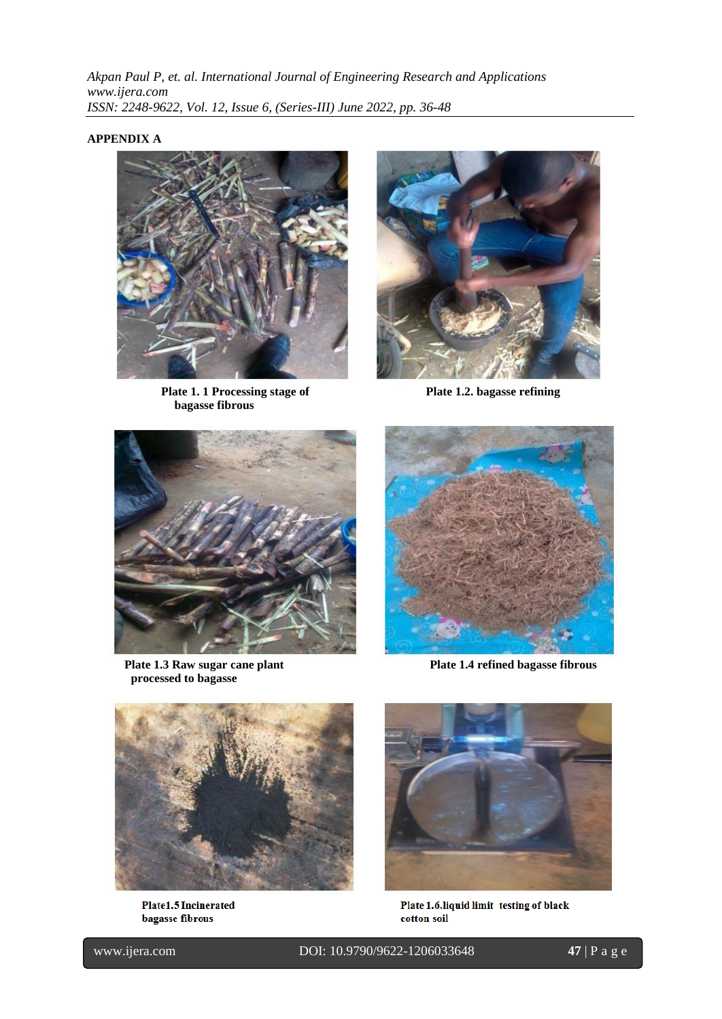### **APPENDIX A**



**Plate 1. 1 Processing stage of Plate 1.2. bagasse refining bagasse fibrous**





Plate 1.3 Raw sugar cane plant Plate 1.4 refined bagasse fibrous **processed to bagasse** 





Plate1.5 Incinerated bagasse fibrous



Plate 1.6.liquid limit testing of black cotton soil

l

www.ijera.com DOI: 10.9790/9622-1206033648 **47** | P a g e